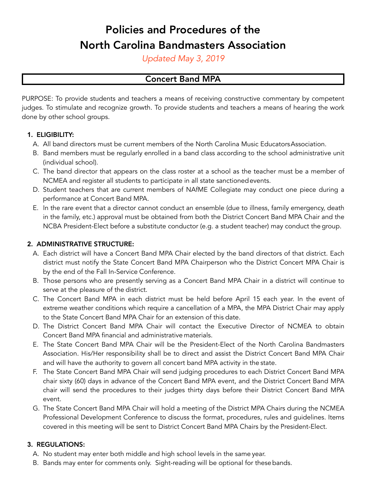# Policies and Procedures of the North Carolina Bandmasters Association

*Updated May 3, 2019*

# Concert Band MPA

PURPOSE: To provide students and teachers a means of receiving constructive commentary by competent judges. To stimulate and recognize growth. To provide students and teachers a means of hearing the work done by other school groups.

### **1.** ELIGIBILITY:

- A. All band directors must be current members of the North Carolina Music EducatorsAssociation.
- B. Band members must be regularly enrolled in a band class according to the school administrative unit (individual school).
- C. The band director that appears on the class roster at a school as the teacher must be a member of NCMEA and register all students to participate in all state sanctionedevents.
- D. Student teachers that are current members of NAfME Collegiate may conduct one piece during a performance at Concert Band MPA.
- E. In the rare event that a director cannot conduct an ensemble (due to illness, family emergency, death in the family, etc.) approval must be obtained from both the District Concert Band MPA Chair and the NCBA President-Elect before a substitute conductor (e.g. a student teacher) may conduct the group.

### **2.** ADMINISTRATIVE STRUCTURE:

- A. Each district will have a Concert Band MPA Chair elected by the band directors of that district. Each district must notify the State Concert Band MPA Chairperson who the District Concert MPA Chair is by the end of the Fall In-Service Conference.
- B. Those persons who are presently serving as a Concert Band MPA Chair in a district will continue to serve at the pleasure of the district.
- C. The Concert Band MPA in each district must be held before April 15 each year. In the event of extreme weather conditions which require a cancellation of a MPA, the MPA District Chair may apply to the State Concert Band MPA Chair for an extension of this date.
- D. The District Concert Band MPA Chair will contact the Executive Director of NCMEA to obtain Concert Band MPA financial and administrative materials.
- E. The State Concert Band MPA Chair will be the President-Elect of the North Carolina Bandmasters Association. His/Her responsibility shall be to direct and assist the District Concert Band MPA Chair and will have the authority to govern all concert band MPA activity in the state.
- F. The State Concert Band MPA Chair will send judging procedures to each District Concert Band MPA chair sixty (60) days in advance of the Concert Band MPA event, and the District Concert Band MPA chair will send the procedures to their judges thirty days before their District Concert Band MPA event.
- G. The State Concert Band MPA Chair will hold a meeting of the District MPA Chairs during the NCMEA Professional Development Conference to discuss the format, procedures, rules and guidelines. Items covered in this meeting will be sent to District Concert Band MPA Chairs by the President-Elect.

### **3.** REGULATIONS:

- A. No student may enter both middle and high school levels in the same year.
- B. Bands may enter for comments only. Sight-reading will be optional for thesebands.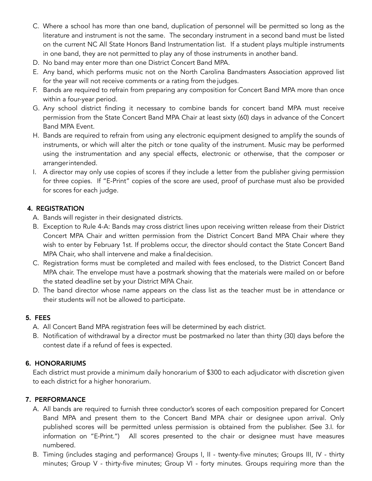- C. Where a school has more than one band, duplication of personnel will be permitted so long as the literature and instrument is not the same. The secondary instrument in a second band must be listed on the current NC All State Honors Band Instrumentation list. If a student plays multiple instruments in one band, they are not permitted to play any of those instruments in another band.
- D. No band may enter more than one District Concert Band MPA.
- E. Any band, which performs music not on the North Carolina Bandmasters Association approved list for the year will not receive comments or a rating from the judges.
- F. Bands are required to refrain from preparing any composition for Concert Band MPA more than once within a four-year period.
- G. Any school district finding it necessary to combine bands for concert band MPA must receive permission from the State Concert Band MPA Chair at least sixty (60) days in advance of the Concert Band MPA Event.
- H. Bands are required to refrain from using any electronic equipment designed to amplify the sounds of instruments, or which will alter the pitch or tone quality of the instrument. Music may be performed using the instrumentation and any special effects, electronic or otherwise, that the composer or arrangerintended.
- I. A director may only use copies of scores if they include a letter from the publisher giving permission for three copies. If "E-Print" copies of the score are used, proof of purchase must also be provided for scores for each judge.

### **4.** REGISTRATION

- A. Bands will register in their designated districts.
- B. Exception to Rule 4-A: Bands may cross district lines upon receiving written release from their District Concert MPA Chair and written permission from the District Concert Band MPA Chair where they wish to enter by February 1st. If problems occur, the director should contact the State Concert Band MPA Chair, who shall intervene and make a finaldecision.
- C. Registration forms must be completed and mailed with fees enclosed, to the District Concert Band MPA chair. The envelope must have a postmark showing that the materials were mailed on or before the stated deadline set by your District MPA Chair.
- D. The band director whose name appears on the class list as the teacher must be in attendance or their students will not be allowed to participate.

### **5.** FEES

- A. All Concert Band MPA registration fees will be determined by each district.
- B. Notification of withdrawal by a director must be postmarked no later than thirty (30) days before the contest date if a refund of fees is expected.

#### **6.** HONORARIUMS

Each district must provide a minimum daily honorarium of \$300 to each adjudicator with discretion given to each district for a higher honorarium.

### **7.** PERFORMANCE

- A. All bands are required to furnish three conductor's scores of each composition prepared for Concert Band MPA and present them to the Concert Band MPA chair or designee upon arrival. Only published scores will be permitted unless permission is obtained from the publisher. (See 3.I. for information on "E-Print.") All scores presented to the chair or designee must have measures numbered.
- B. Timing (includes staging and performance) Groups I, II twenty-five minutes; Groups III, IV thirty minutes; Group V - thirty-five minutes; Group VI - forty minutes. Groups requiring more than the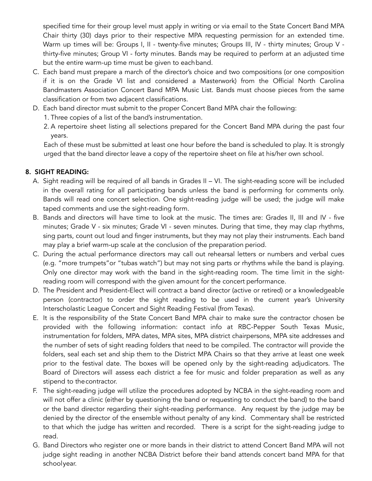specified time for their group level must apply in writing or via email to the State Concert Band MPA Chair thirty (30) days prior to their respective MPA requesting permission for an extended time. Warm up times will be: Groups I, II - twenty-five minutes; Groups III, IV - thirty minutes; Group V thirty-five minutes; Group VI - forty minutes. Bands may be required to perform at an adjusted time but the entire warm-up time must be given to eachband.

- C. Each band must prepare a march of the director's choice and two compositions (or one composition if it is on the Grade VI list and considered a Masterwork) from the Official North Carolina Bandmasters Association Concert Band MPA Music List. Bands must choose pieces from the same classification or from two adjacent classifications.
- D. Each band director must submit to the proper Concert Band MPA chair the following:
	- 1. Three copies of a list of the band's instrumentation.
	- 2. A repertoire sheet listing all selections prepared for the Concert Band MPA during the past four years.

Each of these must be submitted at least one hour before the band is scheduled to play. It is strongly urged that the band director leave a copy of the repertoire sheet on file at his/her own school.

### **8.** SIGHT READING:

- A. Sight reading will be required of all bands in Grades II VI. The sight-reading score will be included in the overall rating for all participating bands unless the band is performing for comments only. Bands will read one concert selection. One sight-reading judge will be used; the judge will make taped comments and use the sight-reading form.
- B. Bands and directors will have time to look at the music. The times are: Grades II, III and IV five minutes; Grade V - six minutes; Grade VI - seven minutes. During that time, they may clap rhythms, sing parts, count out loud and finger instruments, but they may not play their instruments. Each band may play a brief warm-up scale at the conclusion of the preparation period.
- C. During the actual performance directors may call out rehearsal letters or numbers and verbal cues (e.g. "more trumpets"or "tubas watch") but may not sing parts or rhythms while the band is playing. Only one director may work with the band in the sight-reading room. The time limit in the sightreading room will correspond with the given amount for the concert performance.
- D. The President and President-Elect will contract a band director (active or retired) or a knowledgeable person (contractor) to order the sight reading to be used in the current year's University Interscholastic League Concert and Sight Reading Festival (from Texas).
- E. It is the responsibility of the State Concert Band MPA chair to make sure the contractor chosen be provided with the following information: contact info at RBC-Pepper South Texas Music, instrumentation for folders, MPA dates, MPA sites, MPA district chairpersons, MPA site addresses and the number of sets of sight reading folders that need to be compiled. The contractor will provide the folders, seal each set and ship them to the District MPA Chairs so that they arrive at least one week prior to the festival date. The boxes will be opened only by the sight-reading adjudicators. The Board of Directors will assess each district a fee for music and folder preparation as well as any stipend to the contractor.
- F. The sight-reading judge will utilize the procedures adopted by NCBA in the sight-reading room and will not offer a clinic (either by questioning the band or requesting to conduct the band) to the band or the band director regarding their sight-reading performance. Any request by the judge may be denied by the director of the ensemble without penalty of any kind. Commentary shall be restricted to that which the judge has written and recorded. There is a script for the sight-reading judge to read.
- G. Band Directors who register one or more bands in their district to attend Concert Band MPA will not judge sight reading in another NCBA District before their band attends concert band MPA for that schoolyear.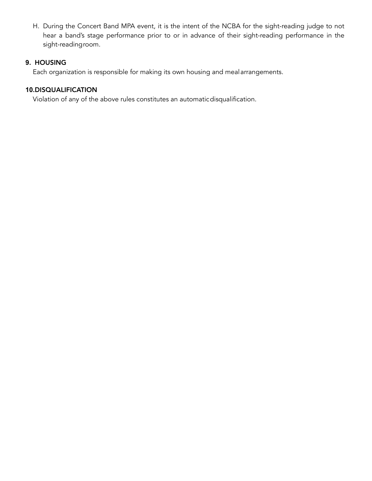H. During the Concert Band MPA event, it is the intent of the NCBA for the sight-reading judge to not hear a band's stage performance prior to or in advance of their sight-reading performance in the sight-readingroom.

# **9.** HOUSING

Each organization is responsible for making its own housing and mealarrangements.

# **10.**DISQUALIFICATION

Violation of any of the above rules constitutes an automaticdisqualification.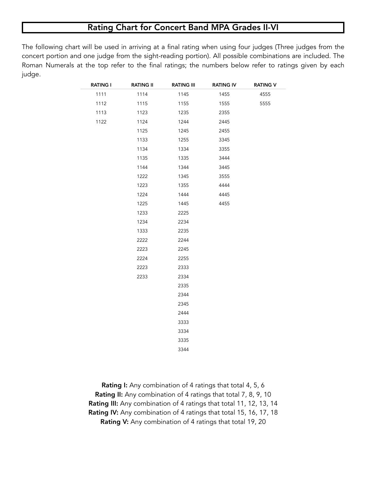# Rating Chart for Concert Band MPA Grades II-VI

The following chart will be used in arriving at a final rating when using four judges (Three judges from the concert portion and one judge from the sight-reading portion). All possible combinations are included. The Roman Numerals at the top refer to the final ratings; the numbers below refer to ratings given by each judge.

| <b>RATING I</b> | <b>RATING II</b> | <b>RATING III</b> | <b>RATING IV</b> | <b>RATING V</b> |
|-----------------|------------------|-------------------|------------------|-----------------|
| 1111            | 1114             | 1145              | 1455             | 4555            |
| 1112            | 1115             | 1155              | 1555             | 5555            |
| 1113            | 1123             | 1235              | 2355             |                 |
| 1122            | 1124             | 1244              | 2445             |                 |
|                 | 1125             | 1245              | 2455             |                 |
|                 | 1133             | 1255              | 3345             |                 |
|                 | 1134             | 1334              | 3355             |                 |
|                 | 1135             | 1335              | 3444             |                 |
|                 | 1144             | 1344              | 3445             |                 |
|                 | 1222             | 1345              | 3555             |                 |
|                 | 1223             | 1355              | 4444             |                 |
|                 | 1224             | 1444              | 4445             |                 |
|                 | 1225             | 1445              | 4455             |                 |
|                 | 1233             | 2225              |                  |                 |
|                 | 1234             | 2234              |                  |                 |
|                 | 1333             | 2235              |                  |                 |
|                 | 2222             | 2244              |                  |                 |
|                 | 2223             | 2245              |                  |                 |
|                 | 2224             | 2255              |                  |                 |
|                 | 2223             | 2333              |                  |                 |
|                 | 2233             | 2334              |                  |                 |
|                 |                  | 2335              |                  |                 |
|                 |                  | 2344              |                  |                 |
|                 |                  | 2345              |                  |                 |
|                 |                  | 2444              |                  |                 |
|                 |                  | 3333              |                  |                 |
|                 |                  | 3334              |                  |                 |
|                 |                  | 3335              |                  |                 |
|                 |                  | 3344              |                  |                 |

Rating I: Any combination of 4 ratings that total 4, 5, 6 Rating II: Any combination of 4 ratings that total 7, 8, 9, 10 Rating III: Any combination of 4 ratings that total 11, 12, 13, 14 Rating IV: Any combination of 4 ratings that total 15, 16, 17, 18 Rating V: Any combination of 4 ratings that total 19, 20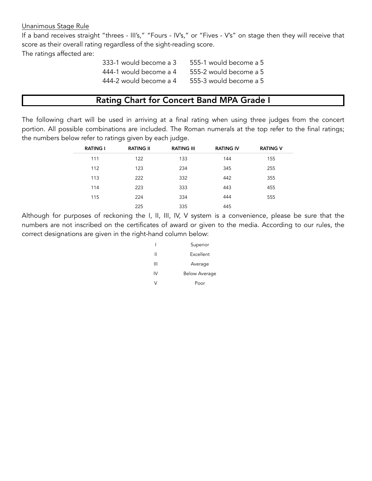#### Unanimous Stage Rule

If a band receives straight "threes - III's," "Fours - IV's," or "Fives - V's" on stage then they will receive that score as their overall rating regardless of the sight-reading score.

The ratings affected are:

| 333-1 would become a 3 | 555-1 would become a 5 |
|------------------------|------------------------|
| 444-1 would become a 4 | 555-2 would become a 5 |
| 444-2 would become a 4 | 555-3 would become a 5 |

# Rating Chart for Concert Band MPA Grade I

The following chart will be used in arriving at a final rating when using three judges from the concert portion. All possible combinations are included. The Roman numerals at the top refer to the final ratings; the numbers below refer to ratings given by each judge.

| <b>RATING I</b> | <b>RATING II</b> | <b>RATING III</b> | <b>RATING IV</b> | <b>RATING V</b> |
|-----------------|------------------|-------------------|------------------|-----------------|
| 111             | 122              | 133               | 144              | 155             |
| 112             | 123              | 234               | 345              | 255             |
| 113             | 222              | 332               | 442              | 355             |
| 114             | 223              | 333               | 443              | 455             |
| 115             | 224              | 334               | 444              | 555             |
|                 | 225              | 335               | 445              |                 |

Although for purposes of reckoning the I, II, III, IV, V system is a convenience, please be sure that the numbers are not inscribed on the certificates of award or given to the media. According to our rules, the correct designations are given in the right-hand column below:

|    | Superior             |
|----|----------------------|
| Ш  | Excellent            |
| Ш  | Average              |
| IV | <b>Below Average</b> |
|    | Poor                 |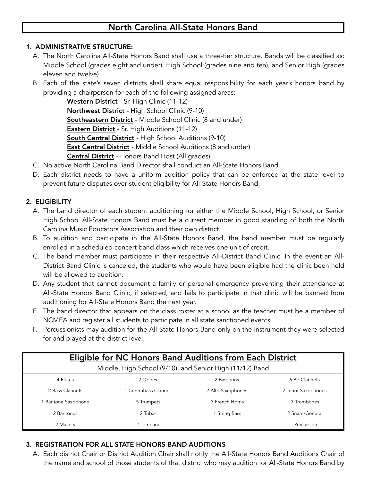# North Carolina All-State Honors Band

### **1.** ADMINISTRATIVE STRUCTURE:

- A. The North Carolina All-State Honors Band shall use a three-tier structure. Bands will be classified as: Middle School (grades eight and under), High School (grades nine and ten), and Senior High (grades eleven and twelve)
- B. Each of the state's seven districts shall share equal responsibility for each year's honors band by providing a chairperson for each of the following assigned areas:

Western District - Sr. High Clinic (11-12) Northwest District - High School Clinic (9-10) Southeastern District - Middle School Clinic (8 and under) **Eastern District** - Sr. High Auditions (11-12) South Central District - High School Auditions (9-10) **East Central District** - Middle School Auditions (8 and under) Central District - Honors Band Host (All grades)

- C. No active North Carolina Band Director shall conduct an All-State Honors Band.
- D. Each district needs to have a uniform audition policy that can be enforced at the state level to prevent future disputes over student eligibility for All-State Honors Band.

# **2.** ELIGIBILITY

- A. The band director of each student auditioning for either the Middle School, High School, or Senior High School All-State Honors Band must be a current member in good standing of both the North Carolina Music Educators Association and their own district.
- B. To audition and participate in the All-State Honors Band, the band member must be regularly enrolled in a scheduled concert band class which receives one unit of credit.
- C. The band member must participate in their respective All-District Band Clinic. In the event an All-District Band Clinic is canceled, the students who would have been eligible had the clinic been held will be allowed to audition.
- D. Any student that cannot document a family or personal emergency preventing their attendance at All-State Honors Band Clinic, if selected, and fails to participate in that clinic will be banned from auditioning for All-State Honors Band the next year.
- E. The band director that appears on the class roster at a school as the teacher must be a member of NCMEA and register all students to participate in all state sanctioned events.
- F. Percussionists may audition for the All-State Honors Band only on the instrument they were selected for and played at the district level.

| <b>Eligible for NC Honors Band Auditions from Each District</b> |                       |                   |                    |  |
|-----------------------------------------------------------------|-----------------------|-------------------|--------------------|--|
| Middle, High School (9/10), and Senior High (11/12) Band        |                       |                   |                    |  |
| 4 Flutes                                                        | 2 Oboes               | 2 Bassoons        | 6 Bb Clarinets     |  |
| 2 Bass Clarinets                                                | 1 Contrabass Clarinet | 2 Alto Saxophones | 2 Tenor Saxophones |  |
| 1 Baritone Saxophone                                            | 5 Trumpets            | 3 French Horns    | 3 Trombones        |  |
| 2 Baritones                                                     | 2 Tubas               | 1 String Bass     | 2 Snare/General    |  |
| 2 Mallets                                                       | Timpani               |                   | Percussion         |  |

# **3.** REGISTRATION FOR ALL-STATE HONORS BAND AUDITIONS

A. Each district Chair or District Audition Chair shall notify the All-State Honors Band Auditions Chair of the name and school of those students of that district who may audition for All-State Honors Band by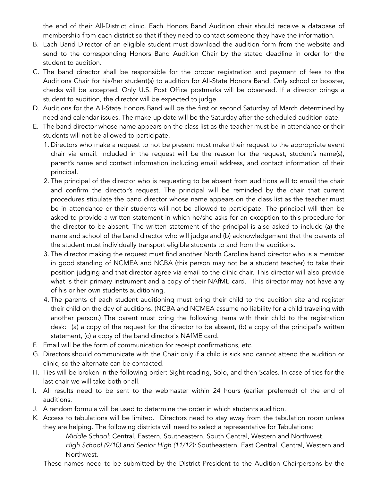the end of their All-District clinic. Each Honors Band Audition chair should receive a database of membership from each district so that if they need to contact someone they have the information.

- B. Each Band Director of an eligible student must download the audition form from the website and send to the corresponding Honors Band Audition Chair by the stated deadline in order for the student to audition.
- C. The band director shall be responsible for the proper registration and payment of fees to the Auditions Chair for his/her student(s) to audition for All-State Honors Band. Only school or booster, checks will be accepted. Only U.S. Post Office postmarks will be observed. If a director brings a student to audition, the director will be expected to judge.
- D. Auditions for the All-State Honors Band will be the first or second Saturday of March determined by need and calendar issues. The make-up date will be the Saturday after the scheduled audition date.
- E. The band director whose name appears on the class list as the teacher must be in attendance or their students will not be allowed to participate.
	- 1. Directors who make a request to not be present must make their request to the appropriate event chair via email. Included in the request will be the reason for the request, student's name(s), parent's name and contact information including email address, and contact information of their principal.
	- 2. The principal of the director who is requesting to be absent from auditions will to email the chair and confirm the director's request. The principal will be reminded by the chair that current procedures stipulate the band director whose name appears on the class list as the teacher must be in attendance or their students will not be allowed to participate. The principal will then be asked to provide a written statement in which he/she asks for an exception to this procedure for the director to be absent. The written statement of the principal is also asked to include (a) the name and school of the band director who will judge and (b) acknowledgement that the parents of the student must individually transport eligible students to and from the auditions.
	- 3. The director making the request must find another North Carolina band director who is a member in good standing of NCMEA and NCBA (this person may not be a student teacher) to take their position judging and that director agree via email to the clinic chair. This director will also provide what is their primary instrument and a copy of their NAfME card. This director may not have any of his or her own students auditioning.
	- 4. The parents of each student auditioning must bring their child to the audition site and register their child on the day of auditions. (NCBA and NCMEA assume no liability for a child traveling with another person.) The parent must bring the following items with their child to the registration desk: (a) a copy of the request for the director to be absent, (b) a copy of the principal's written statement, (c) a copy of the band director's NAfME card.
- F. Email will be the form of communication for receipt confirmations, etc.
- G. Directors should communicate with the Chair only if a child is sick and cannot attend the audition or clinic, so the alternate can be contacted.
- H. Ties will be broken in the following order: Sight-reading, Solo, and then Scales. In case of ties for the last chair we will take both or all.
- I. All results need to be sent to the webmaster within 24 hours (earlier preferred) of the end of auditions.
- J. A random formula will be used to determine the order in which students audition.
- K. Access to tabulations will be limited. Directors need to stay away from the tabulation room unless they are helping. The following districts will need to select a representative for Tabulations:

*Middle School:* Central, Eastern, Southeastern, South Central, Western and Northwest. *High School (9/10) and Senior High (11/12):* Southeastern, East Central, Central, Western and Northwest.

These names need to be submitted by the District President to the Audition Chairpersons by the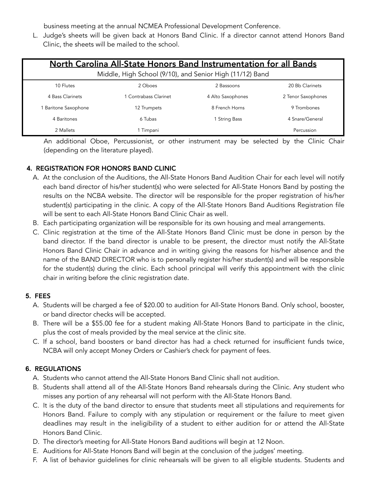business meeting at the annual NCMEA Professional Development Conference.

L. Judge's sheets will be given back at Honors Band Clinic. If a director cannot attend Honors Band Clinic, the sheets will be mailed to the school.

| North Carolina All-State Honors Band Instrumentation for all Bands |                       |                   |                    |
|--------------------------------------------------------------------|-----------------------|-------------------|--------------------|
| Middle, High School (9/10), and Senior High (11/12) Band           |                       |                   |                    |
| 10 Flutes                                                          | 2 Oboes               | 2 Bassoons        | 20 Bb Clarinets    |
| 4 Bass Clarinets                                                   | 1 Contrabass Clarinet | 4 Alto Saxophones | 2 Tenor Saxophones |
| <b>Baritone Saxophone</b>                                          | 12 Trumpets           | 8 French Horns    | 9 Trombones        |
| 4 Baritones                                                        | 6 Tubas               | 1 String Bass     | 4 Snare/General    |
| 2 Mallets                                                          | 1 Timpani             |                   | Percussion         |

An additional Oboe, Percussionist, or other instrument may be selected by the Clinic Chair (depending on the literature played).

# **4.** REGISTRATION FOR HONORS BAND CLINIC

- A. At the conclusion of the Auditions, the All-State Honors Band Audition Chair for each level will notify each band director of his/her student(s) who were selected for All-State Honors Band by posting the results on the NCBA website. The director will be responsible for the proper registration of his/her student(s) participating in the clinic. A copy of the All-State Honors Band Auditions Registration file will be sent to each All-State Honors Band Clinic Chair as well.
- B. Each participating organization will be responsible for its own housing and meal arrangements.
- C. Clinic registration at the time of the All-State Honors Band Clinic must be done in person by the band director. If the band director is unable to be present, the director must notify the All-State Honors Band Clinic Chair in advance and in writing giving the reasons for his/her absence and the name of the BAND DIRECTOR who is to personally register his/her student(s) and will be responsible for the student(s) during the clinic. Each school principal will verify this appointment with the clinic chair in writing before the clinic registration date.

### **5.** FEES

- A. Students will be charged a fee of \$20.00 to audition for All-State Honors Band. Only school, booster, or band director checks will be accepted.
- B. There will be a \$55.00 fee for a student making All-State Honors Band to participate in the clinic, plus the cost of meals provided by the meal service at the clinic site.
- C. If a school, band boosters or band director has had a check returned for insufficient funds twice, NCBA will only accept Money Orders or Cashier's check for payment of fees.

### **6.** REGULATIONS

- A. Students who cannot attend the All-State Honors Band Clinic shall not audition.
- B. Students shall attend all of the All-State Honors Band rehearsals during the Clinic. Any student who misses any portion of any rehearsal will not perform with the All-State Honors Band.
- C. It is the duty of the band director to ensure that students meet all stipulations and requirements for Honors Band. Failure to comply with any stipulation or requirement or the failure to meet given deadlines may result in the ineligibility of a student to either audition for or attend the All-State Honors Band Clinic.
- D. The director's meeting for All-State Honors Band auditions will begin at 12 Noon.
- E. Auditions for All-State Honors Band will begin at the conclusion of the judges' meeting.
- F. A list of behavior guidelines for clinic rehearsals will be given to all eligible students. Students and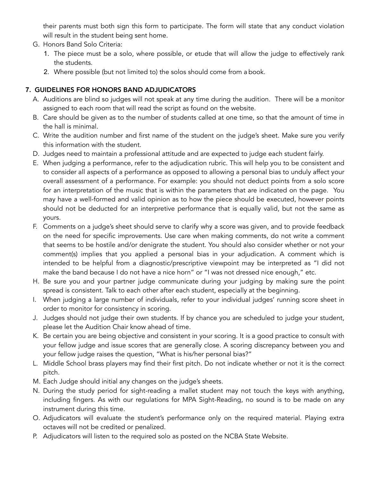their parents must both sign this form to participate. The form will state that any conduct violation will result in the student being sent home.

- G. Honors Band Solo Criteria:
	- 1. The piece must be a solo, where possible, or etude that will allow the judge to effectively rank the students.
	- 2. Where possible (but not limited to) the solos should come from a book.

# **7.** GUIDELINES FOR HONORS BAND ADJUDICATORS

- A. Auditions are blind so judges will not speak at any time during the audition. There will be a monitor assigned to each room that will read the script as found on the website.
- B. Care should be given as to the number of students called at one time, so that the amount of time in the hall is minimal.
- C. Write the audition number and first name of the student on the judge's sheet. Make sure you verify this information with the student.
- D. Judges need to maintain a professional attitude and are expected to judge each student fairly.
- E. When judging a performance, refer to the adjudication rubric. This will help you to be consistent and to consider all aspects of a performance as opposed to allowing a personal bias to unduly affect your overall assessment of a performance. For example: you should not deduct points from a solo score for an interpretation of the music that is within the parameters that are indicated on the page. You may have a well-formed and valid opinion as to how the piece should be executed, however points should not be deducted for an interpretive performance that is equally valid, but not the same as yours.
- F. Comments on a judge's sheet should serve to clarify why a score was given, and to provide feedback on the need for specific improvements. Use care when making comments, do not write a comment that seems to be hostile and/or denigrate the student. You should also consider whether or not your comment(s) implies that you applied a personal bias in your adjudication. A comment which is intended to be helpful from a diagnostic/prescriptive viewpoint may be interpreted as "I did not make the band because I do not have a nice horn" or "I was not dressed nice enough," etc.
- H. Be sure you and your partner judge communicate during your judging by making sure the point spread is consistent. Talk to each other after each student, especially at the beginning.
- I. When judging a large number of individuals, refer to your individual judges' running score sheet in order to monitor for consistency in scoring.
- J. Judges should not judge their own students. If by chance you are scheduled to judge your student, please let the Audition Chair know ahead of time.
- K. Be certain you are being objective and consistent in your scoring. It is a good practice to consult with your fellow judge and issue scores that are generally close. A scoring discrepancy between you and your fellow judge raises the question, "What is his/her personal bias?"
- L. Middle School brass players may find their first pitch. Do not indicate whether or not it is the correct pitch.
- M. Each Judge should initial any changes on the judge's sheets.
- N. During the study period for sight-reading a mallet student may not touch the keys with anything, including fingers. As with our regulations for MPA Sight-Reading, no sound is to be made on any instrument during this time.
- O. Adjudicators will evaluate the student's performance only on the required material. Playing extra octaves will not be credited or penalized.
- P. Adjudicators will listen to the required solo as posted on the NCBA State Website.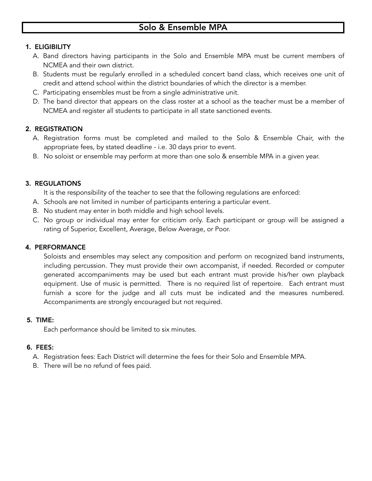### **1.** ELIGIBILITY

- A. Band directors having participants in the Solo and Ensemble MPA must be current members of NCMEA and their own district.
- B. Students must be regularly enrolled in a scheduled concert band class, which receives one unit of credit and attend school within the district boundaries of which the director is a member.
- C. Participating ensembles must be from a single administrative unit.
- D. The band director that appears on the class roster at a school as the teacher must be a member of NCMEA and register all students to participate in all state sanctioned events.

### **2.** REGISTRATION

- A. Registration forms must be completed and mailed to the Solo & Ensemble Chair, with the appropriate fees, by stated deadline - i.e. 30 days prior to event.
- B. No soloist or ensemble may perform at more than one solo & ensemble MPA in a given year.

#### **3.** REGULATIONS

It is the responsibility of the teacher to see that the following regulations are enforced:

- A. Schools are not limited in number of participants entering a particular event.
- B. No student may enter in both middle and high school levels.
- C. No group or individual may enter for criticism only. Each participant or group will be assigned a rating of Superior, Excellent, Average, Below Average, or Poor.

#### **4.** PERFORMANCE

Soloists and ensembles may select any composition and perform on recognized band instruments, including percussion. They must provide their own accompanist, if needed. Recorded or computer generated accompaniments may be used but each entrant must provide his/her own playback equipment. Use of music is permitted. There is no required list of repertoire. Each entrant must furnish a score for the judge and all cuts must be indicated and the measures numbered. Accompaniments are strongly encouraged but not required.

#### **5.** TIME:

Each performance should be limited to six minutes.

#### **6.** FEES:

A. Registration fees: Each District will determine the fees for their Solo and Ensemble MPA.

B. There will be no refund of fees paid.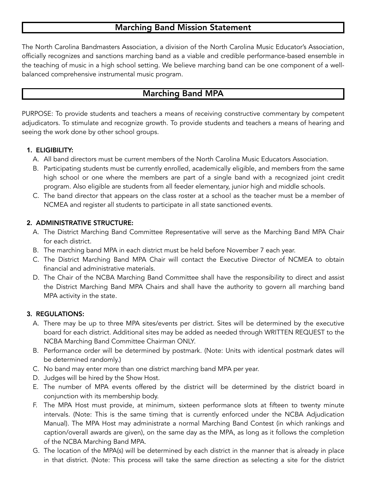# Marching Band Mission Statement

The North Carolina Bandmasters Association, a division of the North Carolina Music Educator's Association, officially recognizes and sanctions marching band as a viable and credible performance-based ensemble in the teaching of music in a high school setting. We believe marching band can be one component of a wellbalanced comprehensive instrumental music program.

# Marching Band MPA

PURPOSE: To provide students and teachers a means of receiving constructive commentary by competent adjudicators. To stimulate and recognize growth. To provide students and teachers a means of hearing and seeing the work done by other school groups.

### **1.** ELIGIBILITY:

- A. All band directors must be current members of the North Carolina Music Educators Association.
- B. Participating students must be currently enrolled, academically eligible, and members from the same high school or one where the members are part of a single band with a recognized joint credit program. Also eligible are students from all feeder elementary, junior high and middle schools.
- C. The band director that appears on the class roster at a school as the teacher must be a member of NCMEA and register all students to participate in all state sanctioned events.

#### **2.** ADMINISTRATIVE STRUCTURE:

- A. The District Marching Band Committee Representative will serve as the Marching Band MPA Chair for each district.
- B. The marching band MPA in each district must be held before November 7 each year.
- C. The District Marching Band MPA Chair will contact the Executive Director of NCMEA to obtain financial and administrative materials.
- D. The Chair of the NCBA Marching Band Committee shall have the responsibility to direct and assist the District Marching Band MPA Chairs and shall have the authority to govern all marching band MPA activity in the state.

#### **3.** REGULATIONS:

- A. There may be up to three MPA sites/events per district. Sites will be determined by the executive board for each district. Additional sites may be added as needed through WRITTEN REQUEST to the NCBA Marching Band Committee Chairman ONLY.
- B. Performance order will be determined by postmark. (Note: Units with identical postmark dates will be determined randomly.)
- C. No band may enter more than one district marching band MPA per year.
- D. Judges will be hired by the Show Host.
- E. The number of MPA events offered by the district will be determined by the district board in conjunction with its membership body.
- F. The MPA Host must provide, at minimum, sixteen performance slots at fifteen to twenty minute intervals. (Note: This is the same timing that is currently enforced under the NCBA Adjudication Manual). The MPA Host may administrate a normal Marching Band Contest (in which rankings and caption/overall awards are given), on the same day as the MPA, as long as it follows the completion of the NCBA Marching Band MPA.
- G. The location of the MPA(s) will be determined by each district in the manner that is already in place in that district. (Note: This process will take the same direction as selecting a site for the district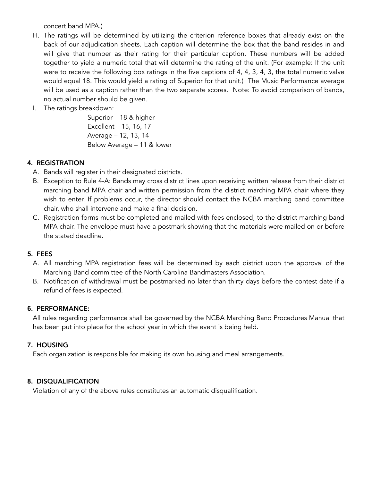concert band MPA.)

- H. The ratings will be determined by utilizing the criterion reference boxes that already exist on the back of our adjudication sheets. Each caption will determine the box that the band resides in and will give that number as their rating for their particular caption. These numbers will be added together to yield a numeric total that will determine the rating of the unit. (For example: If the unit were to receive the following box ratings in the five captions of 4, 4, 3, 4, 3, the total numeric valve would equal 18. This would yield a rating of Superior for that unit.) The Music Performance average will be used as a caption rather than the two separate scores. Note: To avoid comparison of bands, no actual number should be given.
- I. The ratings breakdown:

Superior – 18 & higher Excellent – 15, 16, 17 Average – 12, 13, 14 Below Average – 11 & lower

### **4.** REGISTRATION

- A. Bands will register in their designated districts.
- B. Exception to Rule 4-A: Bands may cross district lines upon receiving written release from their district marching band MPA chair and written permission from the district marching MPA chair where they wish to enter. If problems occur, the director should contact the NCBA marching band committee chair, who shall intervene and make a final decision.
- C. Registration forms must be completed and mailed with fees enclosed, to the district marching band MPA chair. The envelope must have a postmark showing that the materials were mailed on or before the stated deadline.

#### **5.** FEES

- A. All marching MPA registration fees will be determined by each district upon the approval of the Marching Band committee of the North Carolina Bandmasters Association.
- B. Notification of withdrawal must be postmarked no later than thirty days before the contest date if a refund of fees is expected.

#### **6.** PERFORMANCE:

All rules regarding performance shall be governed by the NCBA Marching Band Procedures Manual that has been put into place for the school year in which the event is being held.

#### **7.** HOUSING

Each organization is responsible for making its own housing and meal arrangements.

#### **8.** DISQUALIFICATION

Violation of any of the above rules constitutes an automatic disqualification.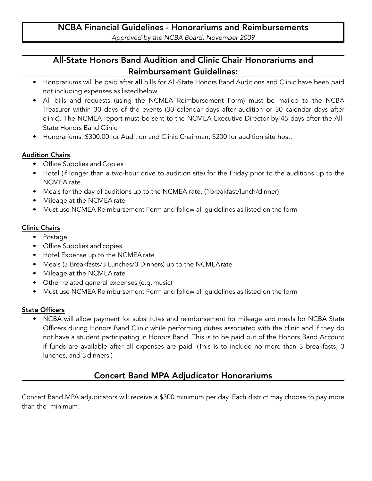# All-State Honors Band Audition and Clinic Chair Honorariums and Reimbursement Guidelines:

- Honorariums will be paid after all bills for All-State Honors Band Auditions and Clinic have been paid not including expenses as listed below.
- All bills and requests (using the NCMEA Reimbursement Form) must be mailed to the NCBA Treasurer within 30 days of the events (30 calendar days after audition or 30 calendar days after clinic). The NCMEA report must be sent to the NCMEA Executive Director by 45 days after the All-State Honors Band Clinic.
- Honorariums: \$300.00 for Audition and Clinic Chairman; \$200 for audition site host.

### Audition Chairs

- Office Supplies and Copies
- Hotel (if longer than a two-hour drive to audition site) for the Friday prior to the auditions up to the NCMEA rate.
- Meals for the day of auditions up to the NCMEA rate. (1breakfast/lunch/dinner)
- Mileage at the NCMEA rate
- Must use NCMEA Reimbursement Form and follow all guidelines as listed on the form

# Clinic Chairs

- Postage
- Office Supplies and copies
- Hotel Expense up to the NCMEArate
- Meals (3 Breakfasts/3 Lunches/3 Dinners) up to the NCMEArate
- Mileage at the NCMEA rate
- Other related general expenses (e.g. music)
- Must use NCMEA Reimbursement Form and follow all guidelines as listed on the form

# State Officers

• NCBA will allow payment for substitutes and reimbursement for mileage and meals for NCBA State Officers during Honors Band Clinic while performing duties associated with the clinic and if they do not have a student participating in Honors Band. This is to be paid out of the Honors Band Account if funds are available after all expenses are paid. (This is to include no more than 3 breakfasts, 3 lunches, and 3 dinners.)

# Concert Band MPA Adjudicator Honorariums

Concert Band MPA adjudicators will receive a \$300 minimum per day. Each district may choose to pay more than the minimum.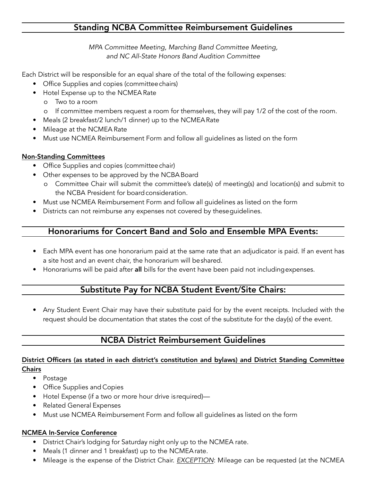# Standing NCBA Committee Reimbursement Guidelines

*MPA Committee Meeting, Marching Band Committee Meeting, and NC All-State Honors Band Audition Committee*

Each District will be responsible for an equal share of the total of the following expenses:

- Office Supplies and copies (committeechairs)
- Hotel Expense up to the NCMEA Rate
	- o Two to a room
	- o If committee members request a room for themselves, they will pay 1/2 of the cost of the room.
- Meals (2 breakfast/2 lunch/1 dinner) up to the NCMEARate
- Mileage at the NCMEA Rate
- Must use NCMEA Reimbursement Form and follow all guidelines as listed on the form

# Non-Standing Committees

- Office Supplies and copies (committeechair)
- Other expenses to be approved by the NCBA Board
	- o Committee Chair will submit the committee's date(s) of meeting(s) and location(s) and submit to the NCBA President for board consideration.
- Must use NCMEA Reimbursement Form and follow all guidelines as listed on the form
- Districts can not reimburse any expenses not covered by theseguidelines.

# Honorariums for Concert Band and Solo and Ensemble MPA Events:

- Each MPA event has one honorarium paid at the same rate that an adjudicator is paid. If an event has a site host and an event chair, the honorarium will beshared.
- Honorariums will be paid after all bills for the event have been paid not includingexpenses.

# Substitute Pay for NCBA Student Event/Site Chairs:

• Any Student Event Chair may have their substitute paid for by the event receipts. Included with the request should be documentation that states the cost of the substitute for the day(s) of the event.

# NCBA District Reimbursement Guidelines

### District Officers (as stated in each district's constitution and bylaws) and District Standing Committee **Chairs**

- Postage
- Office Supplies and Copies
- Hotel Expense (if a two or more hour drive is required)—
- Related General Expenses
- Must use NCMEA Reimbursement Form and follow all guidelines as listed on the form

# NCMEA In-Service Conference

- District Chair's lodging for Saturday night only up to the NCMEA rate.
- Meals (1 dinner and 1 breakfast) up to the NCMEArate.
- Mileage is the expense of the District Chair. *EXCEPTION*: Mileage can be requested (at the NCMEA